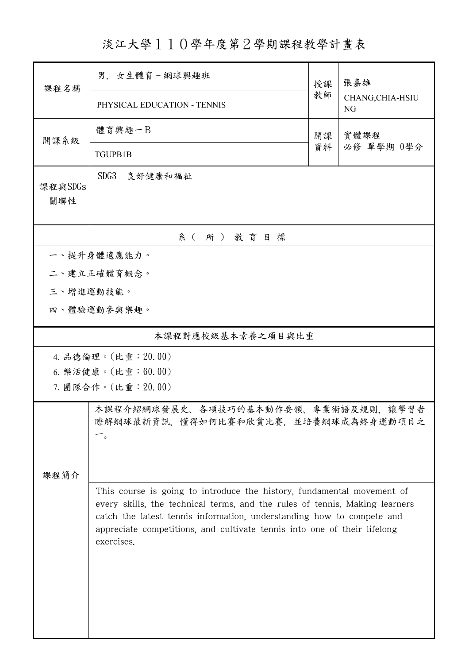淡江大學110學年度第2學期課程教學計畫表

| 課程名稱               | 男. 女生體育-網球興趣班                                                                                                                                                                                                                                  | 授課 | 張嘉雄                    |  |  |  |  |
|--------------------|------------------------------------------------------------------------------------------------------------------------------------------------------------------------------------------------------------------------------------------------|----|------------------------|--|--|--|--|
|                    | PHYSICAL EDUCATION - TENNIS                                                                                                                                                                                                                    | 教師 | CHANG, CHIA-HSIU<br>NG |  |  |  |  |
| 開課系級               | 體育興趣一B<br>實體課程<br>開課                                                                                                                                                                                                                           |    |                        |  |  |  |  |
|                    | TGUPB1B                                                                                                                                                                                                                                        | 資料 | 必修 單學期 0學分             |  |  |  |  |
| 課程與SDGs<br>關聯性     | SDG3<br>良好健康和福祉                                                                                                                                                                                                                                |    |                        |  |  |  |  |
| 系(所)教育目標           |                                                                                                                                                                                                                                                |    |                        |  |  |  |  |
| 一、提升身體適應能力。        |                                                                                                                                                                                                                                                |    |                        |  |  |  |  |
| 二、建立正確體育概念。        |                                                                                                                                                                                                                                                |    |                        |  |  |  |  |
|                    | 三、增進運動技能。                                                                                                                                                                                                                                      |    |                        |  |  |  |  |
|                    | 四、體驗運動參與樂趣。                                                                                                                                                                                                                                    |    |                        |  |  |  |  |
| 本課程對應校級基本素養之項目與比重  |                                                                                                                                                                                                                                                |    |                        |  |  |  |  |
|                    | 4. 品德倫理。(比重: 20.00)                                                                                                                                                                                                                            |    |                        |  |  |  |  |
| 6. 樂活健康。(比重:60.00) |                                                                                                                                                                                                                                                |    |                        |  |  |  |  |
| 7. 團隊合作。(比重:20.00) |                                                                                                                                                                                                                                                |    |                        |  |  |  |  |
| 課程簡介               | 本課程介紹網球發展史、各項技巧的基本動作要領、專業術語及規則,讓學習者<br>瞭解網球最新資訊,懂得如何比賽和欣賞比賽,並培養網球成為終身運動項目之<br>$\circ$                                                                                                                                                          |    |                        |  |  |  |  |
|                    | This course is going to introduce the history, fundamental movement of                                                                                                                                                                         |    |                        |  |  |  |  |
|                    | every skills, the technical terms, and the rules of tennis. Making learners<br>catch the latest tennis information, understanding how to compete and<br>appreciate competitions, and cultivate tennis into one of their lifelong<br>exercises. |    |                        |  |  |  |  |
|                    |                                                                                                                                                                                                                                                |    |                        |  |  |  |  |
|                    |                                                                                                                                                                                                                                                |    |                        |  |  |  |  |
|                    |                                                                                                                                                                                                                                                |    |                        |  |  |  |  |
|                    |                                                                                                                                                                                                                                                |    |                        |  |  |  |  |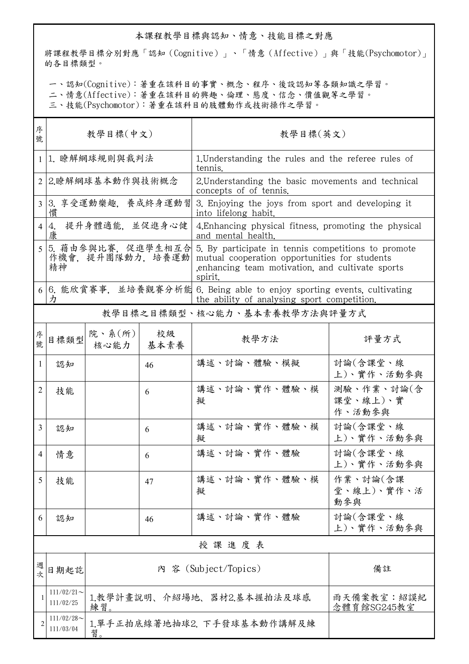## 本課程教學目標與認知、情意、技能目標之對應

將課程教學目標分別對應「認知(Cognitive)」、「情意(Affective)」與「技能(Psychomotor)」 的各目標類型。

一、認知(Cognitive):著重在該科目的事實、概念、程序、後設認知等各類知識之學習。

二、情意(Affective):著重在該科目的興趣、倫理、態度、信念、價值觀等之學習。

三、技能(Psychomotor):著重在該科目的肢體動作或技術操作之學習。

| 序<br>號         | 教學目標(中文)                                                                                                                    |                                                               |            | 教學目標(英文)                                                                                                                                                           |                                  |  |
|----------------|-----------------------------------------------------------------------------------------------------------------------------|---------------------------------------------------------------|------------|--------------------------------------------------------------------------------------------------------------------------------------------------------------------|----------------------------------|--|
| $\mathbf{1}$   | 1. 瞭解網球規則與裁判法                                                                                                               |                                                               |            | 1. Understanding the rules and the referee rules of<br>tennis.                                                                                                     |                                  |  |
| 2 <sub>1</sub> | 2.瞭解網球基本動作與技術概念                                                                                                             |                                                               |            | 2. Understanding the basic movements and technical<br>concepts of of tennis.                                                                                       |                                  |  |
| $\overline{3}$ | 3. 享受運動樂趣,養成終身運動習<br>慣                                                                                                      |                                                               |            | 3. Enjoying the joys from sport and developing it<br>into lifelong habit.                                                                                          |                                  |  |
| $\overline{4}$ | 提升身體適能,並促進身心健<br>4.<br>康                                                                                                    |                                                               |            | 4. Enhancing physical fitness, promoting the physical<br>and mental health.                                                                                        |                                  |  |
|                | 5 5. 藉由參與比賽, 促進學生相互合<br>作機會, 提升團隊動力, 培養運動<br>精神                                                                             |                                                               |            | 5. By participate in tennis competitions to promote<br>mutual cooperation opportunities for students<br>enhancing team motivation, and cultivate sports<br>spirit. |                                  |  |
|                | 6 6. 能欣賞賽事,並培養觀賽分析能 6. Being able to enjoy sporting events, cultivating<br>力<br>the ability of analysing sport competition. |                                                               |            |                                                                                                                                                                    |                                  |  |
|                | 教學目標之目標類型、核心能力、基本素養教學方法與評量方式                                                                                                |                                                               |            |                                                                                                                                                                    |                                  |  |
| 序號             | 目標類型                                                                                                                        | 院、系(所)<br>核心能力                                                | 校級<br>基本素養 | 教學方法                                                                                                                                                               | 評量方式                             |  |
| 1              | 認知                                                                                                                          |                                                               | 46         | 講述、討論、體驗、模擬                                                                                                                                                        | 討論(含課堂、線<br>上)、實作、活動參與           |  |
| 2              | 技能                                                                                                                          |                                                               | 6          | 講述、討論、實作、體驗、模<br>擬                                                                                                                                                 | 測驗、作業、討論(含<br>課堂、線上)、實<br>作、活動參與 |  |
| $\overline{3}$ | 認知                                                                                                                          |                                                               | 6          | 講述、討論、實作、體驗、模<br>擬                                                                                                                                                 | 討論(含課堂、線<br>上)、實作、活動參與           |  |
| 4              | 情意                                                                                                                          |                                                               | 6          | 講述、計論、實作、體驗                                                                                                                                                        | 討論(含課堂、線<br>上)、實作、活動參與           |  |
| 5              | 技能                                                                                                                          |                                                               | 47         | 講述、討論、實作、體驗、模<br>擬                                                                                                                                                 | 作業、討論(含課<br>堂、線上)、實作、活<br>動參與    |  |
| 6              | 認知                                                                                                                          |                                                               | 46         | 講述、討論、實作、體驗                                                                                                                                                        | 討論(含課堂、線<br>上)、實作、活動參與           |  |
|                | 授課進度表                                                                                                                       |                                                               |            |                                                                                                                                                                    |                                  |  |
| 週<br>式         | 日期起訖                                                                                                                        |                                                               |            | 內 容 (Subject/Topics)                                                                                                                                               | 備註                               |  |
| 1              | $111/02/21$ ~<br>111/02/25                                                                                                  | 1教學計畫說明、介紹場地、器材2.基本握拍法及球感<br>雨天備案教室:紹謨紀<br>念體育館SG245教室<br>練習。 |            |                                                                                                                                                                    |                                  |  |
| $\overline{c}$ | $111/02/28$ ~<br>111/03/04                                                                                                  | 1.單手正拍底線著地抽球2. 下手發球基本動作講解及練<br>習。                             |            |                                                                                                                                                                    |                                  |  |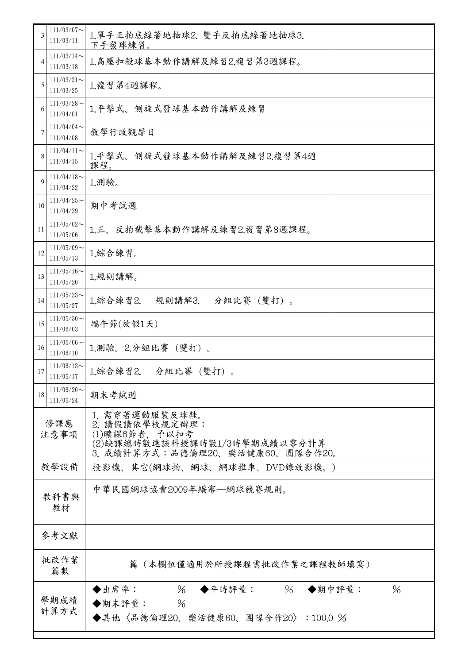| $111/03/07$ ~<br>3<br>1.單手正拍底線著地抽球2. 雙手反拍底線著地抽球3.<br>111/03/11<br>下手發球練習。<br>$111/03/14$ ~<br>1.高壓扣殺球基本動作講解及練習2.複習第3週課程。<br>4<br>111/03/18<br>$111/03/21$ ~<br>1.複習第4週課程。<br>5<br>111/03/25<br>$111/03/28$ ~<br>1.平擊式、側旋式發球基本動作講解及練習<br>6<br>111/04/01<br>111/04/04<br>教學行政觀摩日<br>7<br>111/04/08<br>$111/04/11$ ~<br>1.平擊式、側旋式發球基本動作講解及練習2.複習第4週<br>8<br>111/04/15<br>課程。<br>$111/04/18$ ~<br>1.測驗。<br>9<br>111/04/22<br>$111/04/25$ ~<br>期中考試週<br>10<br>111/04/29<br>$111/05/02$ ~<br>1.正、反拍截擊基本動作講解及練習2.複習第8週課程。<br>11<br>111/05/06<br>$111/05/09$ ~<br>1.綜合練習。<br>12<br>111/05/13<br>$111/05/16$ ~<br>1.規則講解。<br>13<br>111/05/20<br>$111/05/23$ ~<br>分組比賽 (雙打)。<br>1.綜合練習2.<br>規則講解3.<br>14<br>111/05/27<br>$111/05/30$ ~<br>端午節(放假1天)<br>15<br>111/06/03<br>$111/06/06$ ~<br>1.測驗。2.分組比賽 (雙打)。<br>16<br>111/06/10<br>$111/06/13$ ~<br>分組比賽 (雙打)。<br>1.綜合練習2.<br>17<br>111/06/17<br>$111/06/20$ ~<br>期末考試週<br>18<br>111/06/24<br>1. 需穿著運動服裝及球鞋。<br>修課應<br>2. 請假請依學校規定辦理:<br>(1)曠課6節者, 予以扣考<br>注意事項<br>(2)缺課總時數達該科授課時數1/3時學期成績以零分計算<br>3. 成績計算方式:品德倫理20、樂活健康60、團隊合作20。<br>教學設備<br>投影機、其它(網球拍、網球、網球推車、DVD錄放影機。)<br>中華民國網球協會2009年編審—網球競賽規則。<br>教科書與<br>教材<br>參考文獻<br>批改作業<br>篇(本欄位僅適用於所授課程需批改作業之課程教師填寫)<br>篇數<br>$\%$<br>$\frac{0}{6}$<br>$\%$<br>◆出席率:<br>◆平時評量:<br>◆期中評量:<br>學期成績<br>$\frac{0}{6}$<br>◆期末評量:<br>計算方式<br>◆其他〈品德倫理20、樂活健康60、團隊合作20〉:100.0 % |  |  |  |
|-------------------------------------------------------------------------------------------------------------------------------------------------------------------------------------------------------------------------------------------------------------------------------------------------------------------------------------------------------------------------------------------------------------------------------------------------------------------------------------------------------------------------------------------------------------------------------------------------------------------------------------------------------------------------------------------------------------------------------------------------------------------------------------------------------------------------------------------------------------------------------------------------------------------------------------------------------------------------------------------------------------------------------------------------------------------------------------------------------------------------------------------------------------------------------------------------------------------------------------------------------------------------------------------------------------------------------------------------------------|--|--|--|
|                                                                                                                                                                                                                                                                                                                                                                                                                                                                                                                                                                                                                                                                                                                                                                                                                                                                                                                                                                                                                                                                                                                                                                                                                                                                                                                                                             |  |  |  |
|                                                                                                                                                                                                                                                                                                                                                                                                                                                                                                                                                                                                                                                                                                                                                                                                                                                                                                                                                                                                                                                                                                                                                                                                                                                                                                                                                             |  |  |  |
|                                                                                                                                                                                                                                                                                                                                                                                                                                                                                                                                                                                                                                                                                                                                                                                                                                                                                                                                                                                                                                                                                                                                                                                                                                                                                                                                                             |  |  |  |
|                                                                                                                                                                                                                                                                                                                                                                                                                                                                                                                                                                                                                                                                                                                                                                                                                                                                                                                                                                                                                                                                                                                                                                                                                                                                                                                                                             |  |  |  |
|                                                                                                                                                                                                                                                                                                                                                                                                                                                                                                                                                                                                                                                                                                                                                                                                                                                                                                                                                                                                                                                                                                                                                                                                                                                                                                                                                             |  |  |  |
|                                                                                                                                                                                                                                                                                                                                                                                                                                                                                                                                                                                                                                                                                                                                                                                                                                                                                                                                                                                                                                                                                                                                                                                                                                                                                                                                                             |  |  |  |
|                                                                                                                                                                                                                                                                                                                                                                                                                                                                                                                                                                                                                                                                                                                                                                                                                                                                                                                                                                                                                                                                                                                                                                                                                                                                                                                                                             |  |  |  |
|                                                                                                                                                                                                                                                                                                                                                                                                                                                                                                                                                                                                                                                                                                                                                                                                                                                                                                                                                                                                                                                                                                                                                                                                                                                                                                                                                             |  |  |  |
|                                                                                                                                                                                                                                                                                                                                                                                                                                                                                                                                                                                                                                                                                                                                                                                                                                                                                                                                                                                                                                                                                                                                                                                                                                                                                                                                                             |  |  |  |
|                                                                                                                                                                                                                                                                                                                                                                                                                                                                                                                                                                                                                                                                                                                                                                                                                                                                                                                                                                                                                                                                                                                                                                                                                                                                                                                                                             |  |  |  |
|                                                                                                                                                                                                                                                                                                                                                                                                                                                                                                                                                                                                                                                                                                                                                                                                                                                                                                                                                                                                                                                                                                                                                                                                                                                                                                                                                             |  |  |  |
|                                                                                                                                                                                                                                                                                                                                                                                                                                                                                                                                                                                                                                                                                                                                                                                                                                                                                                                                                                                                                                                                                                                                                                                                                                                                                                                                                             |  |  |  |
|                                                                                                                                                                                                                                                                                                                                                                                                                                                                                                                                                                                                                                                                                                                                                                                                                                                                                                                                                                                                                                                                                                                                                                                                                                                                                                                                                             |  |  |  |
|                                                                                                                                                                                                                                                                                                                                                                                                                                                                                                                                                                                                                                                                                                                                                                                                                                                                                                                                                                                                                                                                                                                                                                                                                                                                                                                                                             |  |  |  |
|                                                                                                                                                                                                                                                                                                                                                                                                                                                                                                                                                                                                                                                                                                                                                                                                                                                                                                                                                                                                                                                                                                                                                                                                                                                                                                                                                             |  |  |  |
|                                                                                                                                                                                                                                                                                                                                                                                                                                                                                                                                                                                                                                                                                                                                                                                                                                                                                                                                                                                                                                                                                                                                                                                                                                                                                                                                                             |  |  |  |
|                                                                                                                                                                                                                                                                                                                                                                                                                                                                                                                                                                                                                                                                                                                                                                                                                                                                                                                                                                                                                                                                                                                                                                                                                                                                                                                                                             |  |  |  |
|                                                                                                                                                                                                                                                                                                                                                                                                                                                                                                                                                                                                                                                                                                                                                                                                                                                                                                                                                                                                                                                                                                                                                                                                                                                                                                                                                             |  |  |  |
|                                                                                                                                                                                                                                                                                                                                                                                                                                                                                                                                                                                                                                                                                                                                                                                                                                                                                                                                                                                                                                                                                                                                                                                                                                                                                                                                                             |  |  |  |
|                                                                                                                                                                                                                                                                                                                                                                                                                                                                                                                                                                                                                                                                                                                                                                                                                                                                                                                                                                                                                                                                                                                                                                                                                                                                                                                                                             |  |  |  |
|                                                                                                                                                                                                                                                                                                                                                                                                                                                                                                                                                                                                                                                                                                                                                                                                                                                                                                                                                                                                                                                                                                                                                                                                                                                                                                                                                             |  |  |  |
|                                                                                                                                                                                                                                                                                                                                                                                                                                                                                                                                                                                                                                                                                                                                                                                                                                                                                                                                                                                                                                                                                                                                                                                                                                                                                                                                                             |  |  |  |